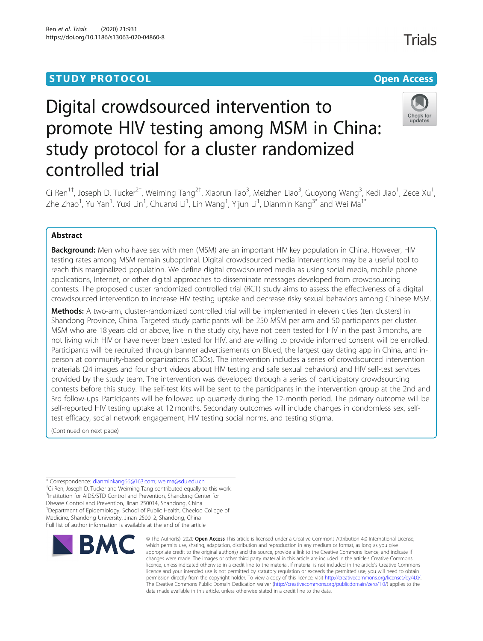# **STUDY PROTOCOL CONSUMING THE CONSUMING OPEN ACCESS**

# Digital crowdsourced intervention to promote HIV testing among MSM in China: study protocol for a cluster randomized controlled trial



Ci Ren<sup>1†</sup>, Joseph D. Tucker<sup>2†</sup>, Weiming Tang<sup>2†</sup>, Xiaorun Tao<sup>3</sup>, Meizhen Liao<sup>3</sup>, Guoyong Wang<sup>3</sup>, Kedi Jiao<sup>1</sup>, Zece Xu<sup>1</sup> , Zhe Zhao<sup>1</sup>, Yu Yan<sup>1</sup>, Yuxi Lin<sup>1</sup>, Chuanxi Li<sup>1</sup>, Lin Wang<sup>1</sup>, Yijun Li<sup>1</sup>, Dianmin Kang<sup>3\*</sup> and Wei Ma<sup>1\*</sup>

# Abstract

**Background:** Men who have sex with men (MSM) are an important HIV key population in China. However, HIV testing rates among MSM remain suboptimal. Digital crowdsourced media interventions may be a useful tool to reach this marginalized population. We define digital crowdsourced media as using social media, mobile phone applications, Internet, or other digital approaches to disseminate messages developed from crowdsourcing contests. The proposed cluster randomized controlled trial (RCT) study aims to assess the effectiveness of a digital crowdsourced intervention to increase HIV testing uptake and decrease risky sexual behaviors among Chinese MSM.

Methods: A two-arm, cluster-randomized controlled trial will be implemented in eleven cities (ten clusters) in Shandong Province, China. Targeted study participants will be 250 MSM per arm and 50 participants per cluster. MSM who are 18 years old or above, live in the study city, have not been tested for HIV in the past 3 months, are not living with HIV or have never been tested for HIV, and are willing to provide informed consent will be enrolled. Participants will be recruited through banner advertisements on Blued, the largest gay dating app in China, and inperson at community-based organizations (CBOs). The intervention includes a series of crowdsourced intervention materials (24 images and four short videos about HIV testing and safe sexual behaviors) and HIV self-test services provided by the study team. The intervention was developed through a series of participatory crowdsourcing contests before this study. The self-test kits will be sent to the participants in the intervention group at the 2nd and 3rd follow-ups. Participants will be followed up quarterly during the 12-month period. The primary outcome will be self-reported HIV testing uptake at 12 months. Secondary outcomes will include changes in condomless sex, selftest efficacy, social network engagement, HIV testing social norms, and testing stigma.

(Continued on next page)

\* Correspondence: [dianminkang66@163.com;](mailto:dianminkang66@163.com) [weima@sdu.edu.cn](mailto:weima@sdu.edu.cn) †

<sup>+</sup>Ci Ren, Joseph D. Tucker and Weiming Tang contributed equally to this work. 3 Institution for AIDS/STD Control and Prevention, Shandong Center for Disease Control and Prevention, Jinan 250014, Shandong, China <sup>1</sup>Department of Epidemiology, School of Public Health, Cheeloo College of Medicine, Shandong University, Jinan 250012, Shandong, China Full list of author information is available at the end of the article



© The Author(s), 2020 **Open Access** This article is licensed under a Creative Commons Attribution 4.0 International License, which permits use, sharing, adaptation, distribution and reproduction in any medium or format, as long as you give appropriate credit to the original author(s) and the source, provide a link to the Creative Commons licence, and indicate if changes were made. The images or other third party material in this article are included in the article's Creative Commons licence, unless indicated otherwise in a credit line to the material. If material is not included in the article's Creative Commons licence and your intended use is not permitted by statutory regulation or exceeds the permitted use, you will need to obtain permission directly from the copyright holder. To view a copy of this licence, visit [http://creativecommons.org/licenses/by/4.0/.](http://creativecommons.org/licenses/by/4.0/) The Creative Commons Public Domain Dedication waiver [\(http://creativecommons.org/publicdomain/zero/1.0/](http://creativecommons.org/publicdomain/zero/1.0/)) applies to the data made available in this article, unless otherwise stated in a credit line to the data.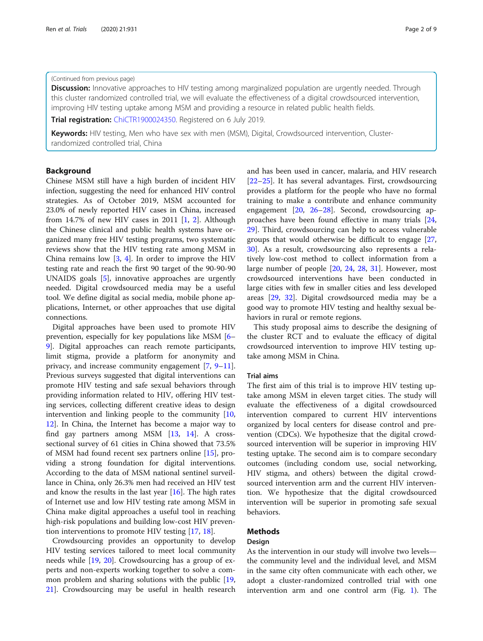# (Continued from previous page)

**Discussion:** Innovative approaches to HIV testing among marginalized population are urgently needed. Through this cluster randomized controlled trial, we will evaluate the effectiveness of a digital crowdsourced intervention, improving HIV testing uptake among MSM and providing a resource in related public health fields.

Trial registration: [ChiCTR1900024350.](http://www.chictr.org.cn/showproj.aspx?proj=36718) Registered on 6 July 2019.

Keywords: HIV testing, Men who have sex with men (MSM), Digital, Crowdsourced intervention, Clusterrandomized controlled trial, China

# Background

Chinese MSM still have a high burden of incident HIV infection, suggesting the need for enhanced HIV control strategies. As of October 2019, MSM accounted for 23.0% of newly reported HIV cases in China, increased from 14.7% of new HIV cases in 2011  $[1, 2]$  $[1, 2]$  $[1, 2]$  $[1, 2]$ . Although the Chinese clinical and public health systems have organized many free HIV testing programs, two systematic reviews show that the HIV testing rate among MSM in China remains low  $[3, 4]$  $[3, 4]$  $[3, 4]$  $[3, 4]$ . In order to improve the HIV testing rate and reach the first 90 target of the 90-90-90 UNAIDS goals [\[5\]](#page-7-0), innovative approaches are urgently needed. Digital crowdsourced media may be a useful tool. We define digital as social media, mobile phone applications, Internet, or other approaches that use digital connections.

Digital approaches have been used to promote HIV prevention, especially for key populations like MSM [[6](#page-7-0)– [9\]](#page-7-0). Digital approaches can reach remote participants, limit stigma, provide a platform for anonymity and privacy, and increase community engagement [[7,](#page-7-0) [9](#page-7-0)–[11](#page-7-0)]. Previous surveys suggested that digital interventions can promote HIV testing and safe sexual behaviors through providing information related to HIV, offering HIV testing services, collecting different creative ideas to design intervention and linking people to the community [[10](#page-7-0), [12\]](#page-7-0). In China, the Internet has become a major way to find gay partners among MSM [\[13](#page-7-0), [14](#page-8-0)]. A crosssectional survey of 61 cities in China showed that 73.5% of MSM had found recent sex partners online [\[15](#page-8-0)], providing a strong foundation for digital interventions. According to the data of MSM national sentinel surveillance in China, only 26.3% men had received an HIV test and know the results in the last year  $[16]$  $[16]$ . The high rates of Internet use and low HIV testing rate among MSM in China make digital approaches a useful tool in reaching high-risk populations and building low-cost HIV prevention interventions to promote HIV testing [\[17](#page-8-0), [18\]](#page-8-0).

Crowdsourcing provides an opportunity to develop HIV testing services tailored to meet local community needs while [\[19](#page-8-0), [20\]](#page-8-0). Crowdsourcing has a group of experts and non-experts working together to solve a common problem and sharing solutions with the public [[19](#page-8-0), [21\]](#page-8-0). Crowdsourcing may be useful in health research and has been used in cancer, malaria, and HIV research [[22](#page-8-0)–[25](#page-8-0)]. It has several advantages. First, crowdsourcing provides a platform for the people who have no formal training to make a contribute and enhance community engagement [[20,](#page-8-0) [26](#page-8-0)–[28](#page-8-0)]. Second, crowdsourcing approaches have been found effective in many trials [[24](#page-8-0), [29\]](#page-8-0). Third, crowdsourcing can help to access vulnerable groups that would otherwise be difficult to engage [[27](#page-8-0), [30\]](#page-8-0). As a result, crowdsourcing also represents a relatively low-cost method to collect information from a large number of people  $[20, 24, 28, 31]$  $[20, 24, 28, 31]$  $[20, 24, 28, 31]$  $[20, 24, 28, 31]$  $[20, 24, 28, 31]$  $[20, 24, 28, 31]$  $[20, 24, 28, 31]$  $[20, 24, 28, 31]$ . However, most crowdsourced interventions have been conducted in large cities with few in smaller cities and less developed areas [[29,](#page-8-0) [32](#page-8-0)]. Digital crowdsourced media may be a good way to promote HIV testing and healthy sexual behaviors in rural or remote regions.

This study proposal aims to describe the designing of the cluster RCT and to evaluate the efficacy of digital crowdsourced intervention to improve HIV testing uptake among MSM in China.

# Trial aims

The first aim of this trial is to improve HIV testing uptake among MSM in eleven target cities. The study will evaluate the effectiveness of a digital crowdsourced intervention compared to current HIV interventions organized by local centers for disease control and prevention (CDCs). We hypothesize that the digital crowdsourced intervention will be superior in improving HIV testing uptake. The second aim is to compare secondary outcomes (including condom use, social networking, HIV stigma, and others) between the digital crowdsourced intervention arm and the current HIV intervention. We hypothesize that the digital crowdsourced intervention will be superior in promoting safe sexual behaviors.

# Methods

# Design

As the intervention in our study will involve two levels the community level and the individual level, and MSM in the same city often communicate with each other, we adopt a cluster-randomized controlled trial with one intervention arm and one control arm (Fig. [1\)](#page-2-0). The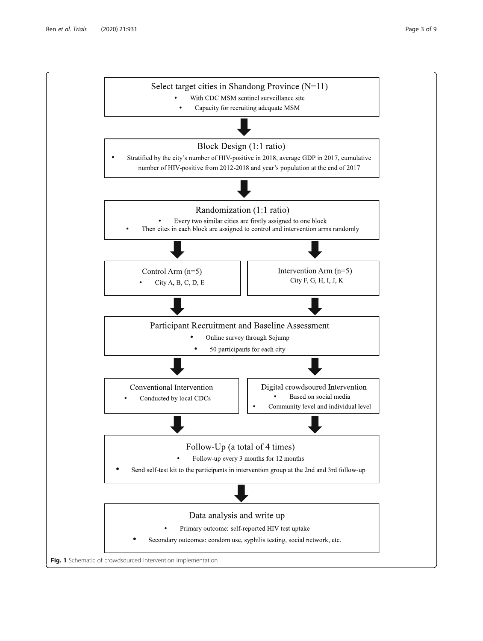<span id="page-2-0"></span>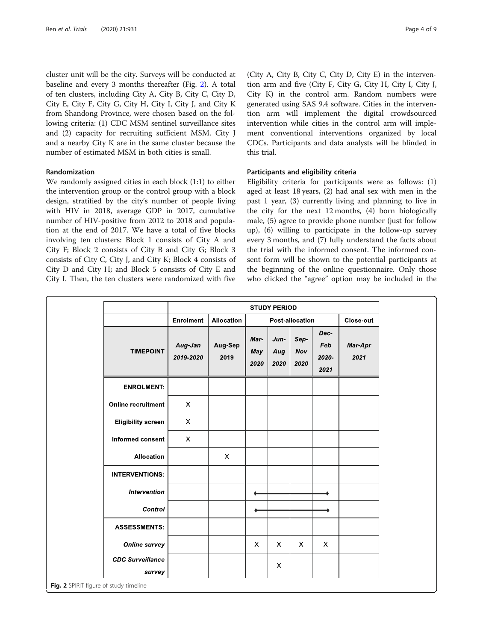<span id="page-3-0"></span>cluster unit will be the city. Surveys will be conducted at baseline and every 3 months thereafter (Fig. 2). A total of ten clusters, including City A, City B, City C, City D, City E, City F, City G, City H, City I, City J, and City K from Shandong Province, were chosen based on the following criteria: (1) CDC MSM sentinel surveillance sites and (2) capacity for recruiting sufficient MSM. City J and a nearby City K are in the same cluster because the number of estimated MSM in both cities is small.

# Randomization

We randomly assigned cities in each block (1:1) to either the intervention group or the control group with a block design, stratified by the city's number of people living with HIV in 2018, average GDP in 2017, cumulative number of HIV-positive from 2012 to 2018 and population at the end of 2017. We have a total of five blocks involving ten clusters: Block 1 consists of City A and City F; Block 2 consists of City B and City G; Block 3 consists of City C, City J, and City K; Block 4 consists of City D and City H; and Block 5 consists of City E and City I. Then, the ten clusters were randomized with five

(City A, City B, City C, City D, City E) in the intervention arm and five (City F, City G, City H, City I, City J, City K) in the control arm. Random numbers were generated using SAS 9.4 software. Cities in the intervention arm will implement the digital crowdsourced intervention while cities in the control arm will implement conventional interventions organized by local CDCs. Participants and data analysts will be blinded in this trial.

# Participants and eligibility criteria

Eligibility criteria for participants were as follows: (1) aged at least 18 years, (2) had anal sex with men in the past 1 year, (3) currently living and planning to live in the city for the next 12 months, (4) born biologically male, (5) agree to provide phone number (just for follow up), (6) willing to participate in the follow-up survey every 3 months, and (7) fully understand the facts about the trial with the informed consent. The informed consent form will be shown to the potential participants at the beginning of the online questionnaire. Only those who clicked the "agree" option may be included in the

|                                        | <b>STUDY PERIOD</b>  |                 |                     |                           |                     |                              |                 |
|----------------------------------------|----------------------|-----------------|---------------------|---------------------------|---------------------|------------------------------|-----------------|
|                                        | Enrolment            | Allocation      | Post-allocation     |                           |                     | Close-out                    |                 |
| <b>TIMEPOINT</b>                       | Aug-Jan<br>2019-2020 | Aug-Sep<br>2019 | Mar-<br>May<br>2020 | Jun-<br>Aug<br>2020       | Sep-<br>Nov<br>2020 | Dec-<br>Feb<br>2020-<br>2021 | Mar-Apr<br>2021 |
| <b>ENROLMENT:</b>                      |                      |                 |                     |                           |                     |                              |                 |
| <b>Online recruitment</b>              | X                    |                 |                     |                           |                     |                              |                 |
| <b>Eligibility screen</b>              | X                    |                 |                     |                           |                     |                              |                 |
| Informed consent                       | X                    |                 |                     |                           |                     |                              |                 |
| Allocation                             |                      | X               |                     |                           |                     |                              |                 |
| <b>INTERVENTIONS:</b>                  |                      |                 |                     |                           |                     |                              |                 |
| <b>Intervention</b>                    |                      |                 |                     |                           |                     |                              |                 |
| Control                                |                      |                 |                     |                           |                     |                              |                 |
| <b>ASSESSMENTS:</b>                    |                      |                 |                     |                           |                     |                              |                 |
| <b>Online survey</b>                   |                      |                 | $\mathsf{X}$        | $\mathsf{X}$              | $\mathsf{X}$        | $\sf X$                      |                 |
| <b>CDC Surveillance</b><br>survey      |                      |                 |                     | $\boldsymbol{\mathsf{X}}$ |                     |                              |                 |
| Fig. 2 SPIRIT figure of study timeline |                      |                 |                     |                           |                     |                              |                 |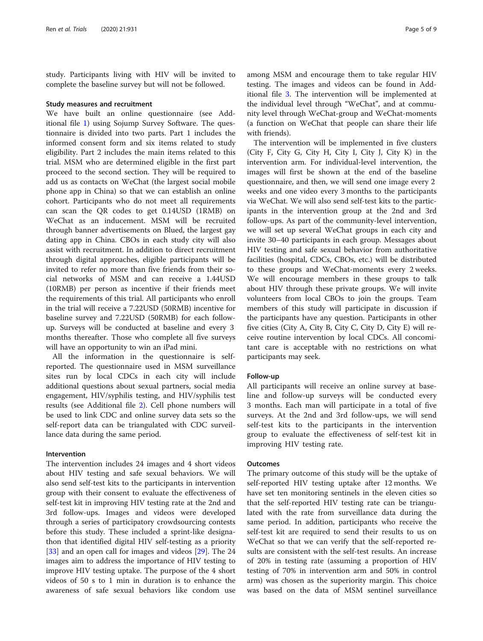study. Participants living with HIV will be invited to complete the baseline survey but will not be followed.

#### Study measures and recruitment

We have built an online questionnaire (see Additional file [1](#page-7-0)) using Sojump Survey Software. The questionnaire is divided into two parts. Part 1 includes the informed consent form and six items related to study eligibility. Part 2 includes the main items related to this trial. MSM who are determined eligible in the first part proceed to the second section. They will be required to add us as contacts on WeChat (the largest social mobile phone app in China) so that we can establish an online cohort. Participants who do not meet all requirements can scan the QR codes to get 0.14USD (1RMB) on WeChat as an inducement. MSM will be recruited through banner advertisements on Blued, the largest gay dating app in China. CBOs in each study city will also assist with recruitment. In addition to direct recruitment through digital approaches, eligible participants will be invited to refer no more than five friends from their social networks of MSM and can receive a 1.44USD (10RMB) per person as incentive if their friends meet the requirements of this trial. All participants who enroll in the trial will receive a 7.22USD (50RMB) incentive for baseline survey and 7.22USD (50RMB) for each followup. Surveys will be conducted at baseline and every 3 months thereafter. Those who complete all five surveys will have an opportunity to win an iPad mini.

All the information in the questionnaire is selfreported. The questionnaire used in MSM surveillance sites run by local CDCs in each city will include additional questions about sexual partners, social media engagement, HIV/syphilis testing, and HIV/syphilis test results (see Additional file [2](#page-7-0)). Cell phone numbers will be used to link CDC and online survey data sets so the self-report data can be triangulated with CDC surveillance data during the same period.

# Intervention

The intervention includes 24 images and 4 short videos about HIV testing and safe sexual behaviors. We will also send self-test kits to the participants in intervention group with their consent to evaluate the effectiveness of self-test kit in improving HIV testing rate at the 2nd and 3rd follow-ups. Images and videos were developed through a series of participatory crowdsourcing contests before this study. These included a sprint-like designathon that identified digital HIV self-testing as a priority [[33\]](#page-8-0) and an open call for images and videos [\[29\]](#page-8-0). The 24 images aim to address the importance of HIV testing to improve HIV testing uptake. The purpose of the 4 short videos of 50 s to 1 min in duration is to enhance the awareness of safe sexual behaviors like condom use

among MSM and encourage them to take regular HIV testing. The images and videos can be found in Additional file [3](#page-7-0). The intervention will be implemented at the individual level through "WeChat", and at community level through WeChat-group and WeChat-moments (a function on WeChat that people can share their life with friends).

The intervention will be implemented in five clusters (City F, City G, City H, City I, City J, City K) in the intervention arm. For individual-level intervention, the images will first be shown at the end of the baseline questionnaire, and then, we will send one image every 2 weeks and one video every 3 months to the participants via WeChat. We will also send self-test kits to the participants in the intervention group at the 2nd and 3rd follow-ups. As part of the community-level intervention, we will set up several WeChat groups in each city and invite 30–40 participants in each group. Messages about HIV testing and safe sexual behavior from authoritative facilities (hospital, CDCs, CBOs, etc.) will be distributed to these groups and WeChat-moments every 2 weeks. We will encourage members in these groups to talk about HIV through these private groups. We will invite volunteers from local CBOs to join the groups. Team members of this study will participate in discussion if the participants have any question. Participants in other five cities (City A, City B, City C, City D, City E) will receive routine intervention by local CDCs. All concomitant care is acceptable with no restrictions on what participants may seek.

# Follow-up

All participants will receive an online survey at baseline and follow-up surveys will be conducted every 3 months. Each man will participate in a total of five surveys. At the 2nd and 3rd follow-ups, we will send self-test kits to the participants in the intervention group to evaluate the effectiveness of self-test kit in improving HIV testing rate.

# **Outcomes**

The primary outcome of this study will be the uptake of self-reported HIV testing uptake after 12 months. We have set ten monitoring sentinels in the eleven cities so that the self-reported HIV testing rate can be triangulated with the rate from surveillance data during the same period. In addition, participants who receive the self-test kit are required to send their results to us on WeChat so that we can verify that the self-reported results are consistent with the self-test results. An increase of 20% in testing rate (assuming a proportion of HIV testing of 70% in intervention arm and 50% in control arm) was chosen as the superiority margin. This choice was based on the data of MSM sentinel surveillance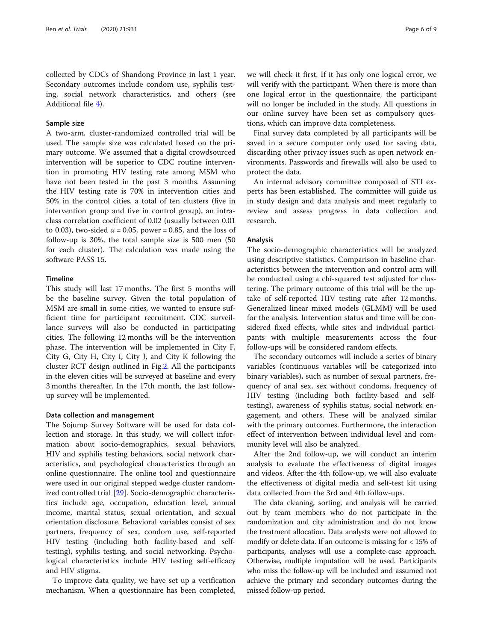collected by CDCs of Shandong Province in last 1 year. Secondary outcomes include condom use, syphilis testing, social network characteristics, and others (see Additional file [4](#page-7-0)).

# Sample size

A two-arm, cluster-randomized controlled trial will be used. The sample size was calculated based on the primary outcome. We assumed that a digital crowdsourced intervention will be superior to CDC routine intervention in promoting HIV testing rate among MSM who have not been tested in the past 3 months. Assuming the HIV testing rate is 70% in intervention cities and 50% in the control cities, a total of ten clusters (five in intervention group and five in control group), an intraclass correlation coefficient of 0.02 (usually between 0.01 to 0.03), two-sided  $\alpha$  = 0.05, power = 0.85, and the loss of follow-up is 30%, the total sample size is 500 men (50 for each cluster). The calculation was made using the software PASS 15.

# Timeline

This study will last 17 months. The first 5 months will be the baseline survey. Given the total population of MSM are small in some cities, we wanted to ensure sufficient time for participant recruitment. CDC surveillance surveys will also be conducted in participating cities. The following 12 months will be the intervention phase. The intervention will be implemented in City F, City G, City H, City I, City J, and City K following the cluster RCT design outlined in Fig[.2](#page-3-0). All the participants in the eleven cities will be surveyed at baseline and every 3 months thereafter. In the 17th month, the last followup survey will be implemented.

# Data collection and management

The Sojump Survey Software will be used for data collection and storage. In this study, we will collect information about socio-demographics, sexual behaviors, HIV and syphilis testing behaviors, social network characteristics, and psychological characteristics through an online questionnaire. The online tool and questionnaire were used in our original stepped wedge cluster randomized controlled trial [[29\]](#page-8-0). Socio-demographic characteristics include age, occupation, education level, annual income, marital status, sexual orientation, and sexual orientation disclosure. Behavioral variables consist of sex partners, frequency of sex, condom use, self-reported HIV testing (including both facility-based and selftesting), syphilis testing, and social networking. Psychological characteristics include HIV testing self-efficacy and HIV stigma.

To improve data quality, we have set up a verification mechanism. When a questionnaire has been completed, we will check it first. If it has only one logical error, we will verify with the participant. When there is more than one logical error in the questionnaire, the participant will no longer be included in the study. All questions in our online survey have been set as compulsory questions, which can improve data completeness.

Final survey data completed by all participants will be saved in a secure computer only used for saving data, discarding other privacy issues such as open network environments. Passwords and firewalls will also be used to protect the data.

An internal advisory committee composed of STI experts has been established. The committee will guide us in study design and data analysis and meet regularly to review and assess progress in data collection and research.

# Analysis

The socio-demographic characteristics will be analyzed using descriptive statistics. Comparison in baseline characteristics between the intervention and control arm will be conducted using a chi-squared test adjusted for clustering. The primary outcome of this trial will be the uptake of self-reported HIV testing rate after 12 months. Generalized linear mixed models (GLMM) will be used for the analysis. Intervention status and time will be considered fixed effects, while sites and individual participants with multiple measurements across the four follow-ups will be considered random effects.

The secondary outcomes will include a series of binary variables (continuous variables will be categorized into binary variables), such as number of sexual partners, frequency of anal sex, sex without condoms, frequency of HIV testing (including both facility-based and selftesting), awareness of syphilis status, social network engagement, and others. These will be analyzed similar with the primary outcomes. Furthermore, the interaction effect of intervention between individual level and community level will also be analyzed.

After the 2nd follow-up, we will conduct an interim analysis to evaluate the effectiveness of digital images and videos. After the 4th follow-up, we will also evaluate the effectiveness of digital media and self-test kit using data collected from the 3rd and 4th follow-ups.

The data cleaning, sorting, and analysis will be carried out by team members who do not participate in the randomization and city administration and do not know the treatment allocation. Data analysts were not allowed to modify or delete data. If an outcome is missing for < 15% of participants, analyses will use a complete-case approach. Otherwise, multiple imputation will be used. Participants who miss the follow-up will be included and assumed not achieve the primary and secondary outcomes during the missed follow-up period.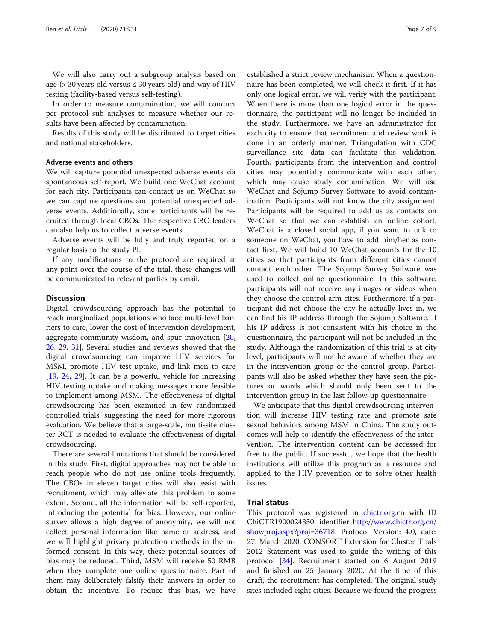We will also carry out a subgroup analysis based on age ( $>$  30 years old versus  $\leq$  30 years old) and way of HIV testing (facility-based versus self-testing).

In order to measure contamination, we will conduct per protocol sub analyses to measure whether our results have been affected by contamination.

Results of this study will be distributed to target cities and national stakeholders.

# Adverse events and others

We will capture potential unexpected adverse events via spontaneous self-report. We build one WeChat account for each city. Participants can contact us on WeChat so we can capture questions and potential unexpected adverse events. Additionally, some participants will be recruited through local CBOs. The respective CBO leaders can also help us to collect adverse events.

Adverse events will be fully and truly reported on a regular basis to the study PI.

If any modifications to the protocol are required at any point over the course of the trial, these changes will be communicated to relevant parties by email.

# **Discussion**

Digital crowdsourcing approach has the potential to reach marginalized populations who face multi-level barriers to care, lower the cost of intervention development, aggregate community wisdom, and spur innovation [[20](#page-8-0), [26,](#page-8-0) [29](#page-8-0), [31\]](#page-8-0). Several studies and reviews showed that the digital crowdsourcing can improve HIV services for MSM, promote HIV test uptake, and link men to care [[19,](#page-8-0) [24,](#page-8-0) [29\]](#page-8-0). It can be a powerful vehicle for increasing HIV testing uptake and making messages more feasible to implement among MSM. The effectiveness of digital crowdsourcing has been examined in few randomized controlled trials, suggesting the need for more rigorous evaluation. We believe that a large-scale, multi-site cluster RCT is needed to evaluate the effectiveness of digital crowdsourcing.

There are several limitations that should be considered in this study. First, digital approaches may not be able to reach people who do not use online tools frequently. The CBOs in eleven target cities will also assist with recruitment, which may alleviate this problem to some extent. Second, all the information will be self-reported, introducing the potential for bias. However, our online survey allows a high degree of anonymity, we will not collect personal information like name or address, and we will highlight privacy protection methods in the informed consent. In this way, these potential sources of bias may be reduced. Third, MSM will receive 50 RMB when they complete one online questionnaire. Part of them may deliberately falsify their answers in order to obtain the incentive. To reduce this bias, we have

established a strict review mechanism. When a questionnaire has been completed, we will check it first. If it has only one logical error, we will verify with the participant. When there is more than one logical error in the questionnaire, the participant will no longer be included in the study. Furthermore, we have an administrator for each city to ensure that recruitment and review work is done in an orderly manner. Triangulation with CDC surveillance site data can facilitate this validation. Fourth, participants from the intervention and control cities may potentially communicate with each other, which may cause study contamination. We will use WeChat and Sojump Survey Software to avoid contamination. Participants will not know the city assignment. Participants will be required to add us as contacts on WeChat so that we can establish an online cohort. WeChat is a closed social app, if you want to talk to someone on WeChat, you have to add him/her as contact first. We will build 10 WeChat accounts for the 10 cities so that participants from different cities cannot contact each other. The Sojump Survey Software was used to collect online questionnaire. In this software, participants will not receive any images or videos when they choose the control arm cites. Furthermore, if a participant did not choose the city he actually lives in, we can find his IP address through the Sojump Software. If his IP address is not consistent with his choice in the questionnaire, the participant will not be included in the study. Although the randomization of this trial is at city level, participants will not be aware of whether they are in the intervention group or the control group. Participants will also be asked whether they have seen the pictures or words which should only been sent to the intervention group in the last follow-up questionnaire.

We anticipate that this digital crowdsourcing intervention will increase HIV testing rate and promote safe sexual behaviors among MSM in China. The study outcomes will help to identify the effectiveness of the intervention. The intervention content can be accessed for free to the public. If successful, we hope that the health institutions will utilize this program as a resource and applied to the HIV prevention or to solve other health issues.

# Trial status

This protocol was registered in [chictr.org.cn](http://chictr.org.cn) with ID ChiCTR1900024350, identifier [http://www.chictr.org.cn/](http://www.chictr.org.cn/showproj.aspx?proj=36718) [showproj.aspx?proj=36718](http://www.chictr.org.cn/showproj.aspx?proj=36718). Protocol Version: 4.0, date: 27. March 2020. CONSORT Extension for Cluster Trials 2012 Statement was used to guide the writing of this protocol [[34\]](#page-8-0). Recruitment started on 6 August 2019 and finished on 25 January 2020. At the time of this draft, the recruitment has completed. The original study sites included eight cities. Because we found the progress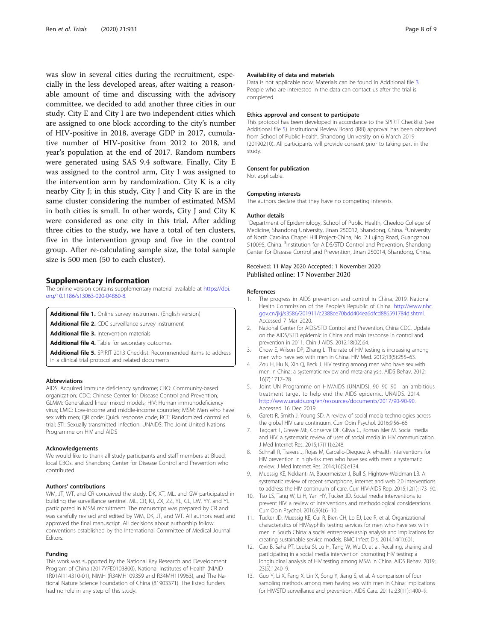<span id="page-7-0"></span>was slow in several cities during the recruitment, especially in the less developed areas, after waiting a reasonable amount of time and discussing with the advisory committee, we decided to add another three cities in our study. City E and City I are two independent cities which are assigned to one block according to the city's number of HIV-positive in 2018, average GDP in 2017, cumulative number of HIV-positive from 2012 to 2018, and year's population at the end of 2017. Random numbers were generated using SAS 9.4 software. Finally, City E was assigned to the control arm, City I was assigned to the intervention arm by randomization. City K is a city nearby City J; in this study, City J and City K are in the same cluster considering the number of estimated MSM in both cities is small. In other words, City J and City K were considered as one city in this trial. After adding three cities to the study, we have a total of ten clusters, five in the intervention group and five in the control group. After re-calculating sample size, the total sample size is 500 men (50 to each cluster).

### Supplementary information

The online version contains supplementary material available at [https://doi.](https://doi.org/10.1186/s13063-020-04860-8) [org/10.1186/s13063-020-04860-8.](https://doi.org/10.1186/s13063-020-04860-8)

Additional file 1. Online survey instrument (English version)

Additional file 2. CDC surveillance survey instrument

Additional file 3. Intervention materials

Additional file 4. Table for secondary outcomes

Additional file 5. SPIRIT 2013 Checklist: Recommended items to address in a clinical trial protocol and related documents

#### Abbreviations

AIDS: Acquired immune deficiency syndrome; CBO: Community-based organization; CDC: Chinese Center for Disease Control and Prevention; GLMM: Generalized linear mixed models; HIV: Human immunodeficiency virus; LMIC: Low-income and middle-income countries; MSM: Men who have sex with men; QR code: Quick response code; RCT: Randomized controlled trial; STI: Sexually transmitted infection; UNAIDS: The Joint United Nations Programme on HIV and AIDS

#### Acknowledgements

We would like to thank all study participants and staff members at Blued, local CBOs, and Shandong Center for Disease Control and Prevention who contributed.

#### Authors' contributions

WM, JT, WT, and CR conceived the study. DK, XT, ML, and GW participated in building the surveillance sentinel. ML, CR, KJ, ZX, ZZ, YL, CL, LW, YY, and YL participated in MSM recruitment. The manuscript was prepared by CR and was carefully revised and edited by WM, DK, JT, and WT. All authors read and approved the final manuscript. All decisions about authorship follow conventions established by the International Committee of Medical Journal Editors.

#### Funding

This work was supported by the National Key Research and Development Program of China (2017YFE0103800), National Institutes of Health (NIAID 1R01AI114310-01), NIMH (R34MH109359 and R34MH119963), and The National Nature Science Foundation of China (81903371). The listed funders had no role in any step of this study.

#### Availability of data and materials

Data is not applicable now. Materials can be found in Additional file 3. People who are interested in the data can contact us after the trial is completed.

#### Ethics approval and consent to participate

This protocol has been developed in accordance to the SPIRIT Checklist (see Additional file 5). Institutional Review Board (IRB) approval has been obtained from School of Public Health, Shandong University on 6 March 2019 (20190210). All participants will provide consent prior to taking part in the study.

#### Consent for publication

Not applicable.

#### Competing interests

The authors declare that they have no competing interests.

#### Author details

<sup>1</sup>Department of Epidemiology, School of Public Health, Cheeloo College of Medicine, Shandong University, Jinan 250012, Shandong, China. <sup>2</sup>University of North Carolina Chapel Hill Project-China, No. 2 Lujing Road, Guangzhou 510095, China. <sup>3</sup>Institution for AIDS/STD Control and Prevention, Shandong Center for Disease Control and Prevention, Jinan 250014, Shandong, China.

# Received: 11 May 2020 Accepted: 1 November 2020 Published online: 17 November 2020

#### References

- 1. The progress in AIDS prevention and control in China, 2019. National Health Commission of the People's Republic of China. [http://www.nhc.](http://www.nhc.gov.cn/jkj/s3586/201911/c2388ce70bdd404ea6dfcd886591784d.shtml) [gov.cn/jkj/s3586/201911/c2388ce70bdd404ea6dfcd886591784d.shtml.](http://www.nhc.gov.cn/jkj/s3586/201911/c2388ce70bdd404ea6dfcd886591784d.shtml) Accessed 7 Mar 2020.
- 2. National Center for AIDS/STD Control and Prevention, China CDC. Update on the AIDS/STD epidemic in China and main response in control and prevention in 2011. Chin J AIDS. 2012;18(02):64.
- 3. Chow E, Wilson DP, Zhang L. The rate of HIV testing is increasing among men who have sex with men in China. HIV Med. 2012;13(5):255–63.
- 4. Zou H, Hu N, Xin Q, Beck J. HIV testing among men who have sex with men in China: a systematic review and meta-analysis. AIDS Behav. 2012; 16(7):1717–28.
- 5. Joint UN Programme on HIV/AIDS (UNAIDS). 90–90–90—an ambitious treatment target to help end the AIDS epidemic. UNAIDS. 2014. [http://www.unaids.org/en/resources/documents/2017/90-90-90.](http://www.unaids.org/en/resources/documents/2017/90-90-90) Accessed 16 Dec 2019.
- 6. Garett R, Smith J, Young SD. A review of social media technologies across the global HIV care continuum. Curr Opin Psychol. 2016;9:56–66.
- 7. Taggart T, Grewe ME, Conserve DF, Gliwa C, Roman Isler M. Social media and HIV: a systematic review of uses of social media in HIV communication. J Med Internet Res. 2015;17(11):e248.
- 8. Schnall R, Travers J, Rojas M, Carballo-Dieguez A. eHealth interventions for HIV prevention in high-risk men who have sex with men: a systematic review. J Med Internet Res. 2014;16(5):e134.
- 9. Muessig KE, Nekkanti M, Bauermeister J, Bull S, Hightow-Weidman LB. A systematic review of recent smartphone, internet and web 2.0 interventions to address the HIV continuum of care. Curr HIV-AIDS Rep. 2015;12(1):173–90.
- 10. Tso LS, Tang W, Li H, Yan HY, Tucker JD. Social media interventions to prevent HIV: a review of interventions and methodological considerations. Curr Opin Psychol. 2016;9(4):6–10.
- 11. Tucker JD, Muessig KE, Cui R, Bien CH, Lo EJ, Lee R, et al. Organizational characteristics of HIV/syphilis testing services for men who have sex with men in South China: a social entrepreneurship analysis and implications for creating sustainable service models. BMC Infect Dis. 2014;14(1):601.
- 12. Cao B, Saha PT, Leuba SI, Lu H, Tang W, Wu D, et al. Recalling, sharing and participating in a social media intervention promoting HIV testing: a longitudinal analysis of HIV testing among MSM in China. AIDS Behav. 2019; 23(5):1240–9.
- 13. Guo Y, Li X, Fang X, Lin X, Song Y, Jiang S, et al. A comparison of four sampling methods among men having sex with men in China: implications for HIV/STD surveillance and prevention. AIDS Care. 2011a;23(11):1400–9.